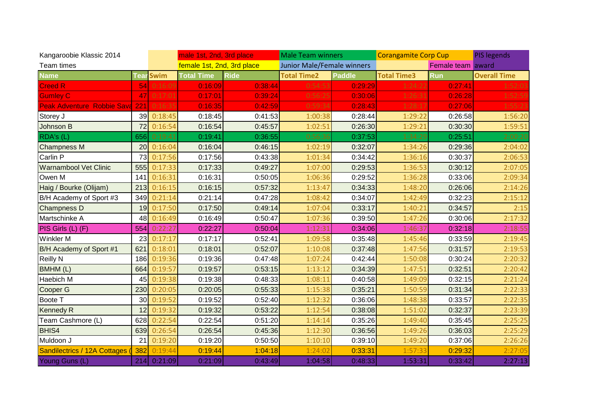| Kangaroobie Klassic 2014            |      |                  | male 1st, 2nd, 3rd place   |             | <b>Male Team winners</b>   |         | <b>Corangamite Corp Cup</b> |            | <b>PIS legends</b>  |
|-------------------------------------|------|------------------|----------------------------|-------------|----------------------------|---------|-----------------------------|------------|---------------------|
| Team times                          |      |                  | female 1st, 2nd, 3rd place |             | Junior Male/Female winners |         | Female team award           |            |                     |
| <b>Name</b>                         |      | <b>Tear</b> Swim | <b>Total Time</b>          | <b>Ride</b> | <b>Total Time2</b>         | Paddle  | <b>Total Time3</b>          | <b>Run</b> | <b>Overall Time</b> |
| <b>Creed R</b>                      | 54   | 16:09            | 0:16:09                    | 0:38:44     | 0:54:5                     | 0:29:29 | 1:24:22                     | 0:27:41    |                     |
| <b>Gumley C</b>                     | 47 I | 0:17:01          | 0:17:01                    | 0:39:24     | 0:56:2                     | 0:30:06 | 1:26:31                     | 0:26:28    |                     |
| <b>Peak Adventure Robbie Sava</b>   | 221  | 0:16:35          | 0:16:35                    | 0:42:59     | 0:59:34                    | 0:28:43 | 1:28:17                     | 0:27:06    | 1:55:23             |
| Storey J                            | 39   | 0:18:45          | 0:18:45                    | 0:41:53     | 1:00:38                    | 0:28:44 | 1:29:22                     | 0:26:58    | 1:56:20             |
| Johnson B                           | 72   | 0:16:54          | 0:16:54                    | 0:45:57     | 1:02:51                    | 0:26:30 | 1:29:21                     | 0:30:30    | 1:59:51             |
| RDA's (L)                           | 656  | 0:19:41          | 0:19:41                    | 0:36:55     | 0:56:36                    | 0:37:53 | 1:34:29                     | 0:25:51    | 2:00:20             |
| <b>Champness M</b>                  | 20   | 0:16:04          | 0:16:04                    | 0:46:15     | 1:02:19                    | 0:32:07 | 1:34:26                     | 0:29:36    | 2:04:02             |
| Carlin P                            | 73   | 0:17:56          | 0:17:56                    | 0:43:38     | 1:01:34                    | 0:34:42 | 1:36:16                     | 0:30:37    | 2:06:53             |
| <b>Warnambool Vet Clinic</b>        | 555  | 0:17:33          | 0:17:33                    | 0:49:27     | 1:07:00                    | 0:29:53 | 1:36:53                     | 0:30:12    | 2:07:05             |
| Owen M                              | 141  | 0:16:31          | 0:16:31                    | 0:50:05     | 1:06:36                    | 0:29:52 | 1:36:28                     | 0:33:06    | 2:09:34             |
| Haig / Bourke (Olijam)              | 213  | 0:16:15          | 0:16:15                    | 0:57:32     | 1:13:47                    | 0:34:33 | 1:48:20                     | 0:26:06    | 2:14:26             |
| B/H Academy of Sport #3             | 349  | 0:21:14          | 0:21:14                    | 0:47:28     | 1:08:42                    | 0:34:07 | 1:42:49                     | 0:32:23    | 2:15:12             |
| <b>Champness D</b>                  | 19   | 0:17:50          | 0:17:50                    | 0:49:14     | 1:07:04                    | 0:33:17 | 1:40:21                     | 0:34:57    | 2:15                |
| Martschinke A                       | 48   | 0:16:49          | 0:16:49                    | 0:50:47     | 1:07:36                    | 0:39:50 | 1:47:26                     | 0:30:06    | 2:17:32             |
| PIS Girls (L) (F)                   | 554  | 0:22:27          | 0:22:27                    | 0:50:04     | 1:12:31                    | 0:34:06 | 1:46:37                     | 0:32:18    | 2:18:55             |
| <b>Winkler M</b>                    | 23   | 0:17:17          | 0:17:17                    | 0:52:41     | 1:09:58                    | 0:35:48 | 1:45:46                     | 0:33:59    | 2:19:45             |
| B/H Academy of Sport #1             | 621  | 0:18:01          | 0:18:01                    | 0:52:07     | 1:10:08                    | 0:37:48 | 1:47:56                     | 0:31:57    | 2:19:53             |
| <b>Reilly N</b>                     | 186  | 0:19:36          | 0:19:36                    | 0:47:48     | 1:07:24                    | 0:42:44 | 1:50:08                     | 0:30:24    | 2:20:32             |
| BMHM (L)                            | 664  | 0:19:57          | 0:19:57                    | 0:53:15     | 1:13:12                    | 0:34:39 | 1:47:51                     | 0:32:51    | 2:20:42             |
| Haebich M                           | 45   | 0:19:38          | 0:19:38                    | 0:48:33     | 1:08:11                    | 0:40:58 | 1:49:09                     | 0:32:15    | 2:21:24             |
| Cooper G                            | 230  | 0:20:05          | 0:20:05                    | 0:55:33     | 1:15:38                    | 0:35:21 | 1:50:59                     | 0:31:34    | 2:22:33             |
| Boote T                             | 30   | 0:19:52          | 0:19:52                    | 0:52:40     | 1:12:32                    | 0:36:06 | 1:48:38                     | 0:33:57    | 2:22:35             |
| <b>Kennedy R</b>                    | 12   | 0:19:32          | 0:19:32                    | 0:53:22     | 1:12:54                    | 0:38:08 | 1:51:02                     | 0:32:37    | 2:23:39             |
| Team Cashmore (L)                   | 628  | 0:22:54          | 0:22:54                    | 0:51:20     | 1:14:14                    | 0:35:26 | 1:49:40                     | 0:35:45    | 2:25:25             |
| BHIS4                               | 639  | 0:26:54          | 0:26:54                    | 0:45:36     | 1:12:30                    | 0:36:56 | 1:49:26                     | 0:36:03    | 2:25:29             |
| Muldoon J                           | 21   | 0:19:20          | 0:19:20                    | 0:50:50     | 1:10:10                    | 0:39:10 | 1:49:20                     | 0:37:06    | 2:26:26             |
| <b>Sandilectrics / 12A Cottages</b> | 382  | 0:19:44          | 0:19:44                    | 1:04:18     | 1:24:02                    | 0:33:31 | 1:57:33                     | 0:29:32    | 2:27:05             |
| Young Guns (L)                      | 214  | 0:21:09          | 0:21:09                    | 0:43:49     | 1:04:58                    | 0:48:33 | 1:53:31                     | 0:33:42    | 2:27:13             |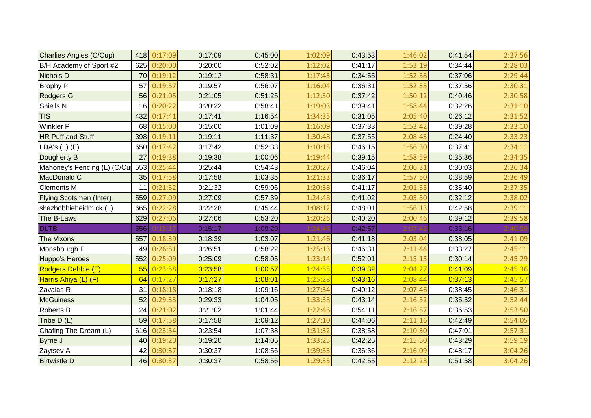| <b>Charlies Angles (C/Cup)</b> | 418 | 0:17:09 | 0:17:09 | 0:45:00 | 1:02:09 | 0:43:53 | 1:46:02 | 0:41:54 | 2:27:56 |
|--------------------------------|-----|---------|---------|---------|---------|---------|---------|---------|---------|
| B/H Academy of Sport #2        | 625 | 0:20:00 | 0:20:00 | 0:52:02 | 1:12:02 | 0:41:17 | 1:53:19 | 0:34:44 | 2:28:03 |
| <b>Nichols D</b>               | 70  | 0:19:12 | 0:19:12 | 0:58:31 | 1:17:43 | 0:34:55 | 1:52:38 | 0:37:06 | 2:29:44 |
| <b>Brophy P</b>                | 57  | 0:19:57 | 0:19:57 | 0:56:07 | 1:16:04 | 0:36:31 | 1:52:35 | 0:37:56 | 2:30:31 |
| <b>Rodgers G</b>               | 56  | 0:21:05 | 0:21:05 | 0:51:25 | 1:12:30 | 0:37:42 | 1:50:12 | 0:40:46 | 2:30:58 |
| Shiells N                      | 16  | 0:20:22 | 0:20:22 | 0:58:41 | 1:19:03 | 0:39:41 | 1:58:44 | 0:32:26 | 2:31:10 |
| <b>TIS</b>                     | 432 | 0:17:41 | 0:17:41 | 1:16:54 | 1:34:35 | 0:31:05 | 2:05:40 | 0:26:12 | 2:31:52 |
| <b>Winkler P</b>               | 68  | 0:15:00 | 0:15:00 | 1:01:09 | 1:16:09 | 0:37:33 | 1:53:42 | 0:39:28 | 2:33:10 |
| <b>HR Puff and Stuff</b>       | 398 | 0:19:11 | 0:19:11 | 1:11:37 | 1:30:48 | 0:37:55 | 2:08:43 | 0:24:40 | 2:33:23 |
| LDA's (L) (F)                  | 650 | 0:17:42 | 0:17:42 | 0:52:33 | 1:10:15 | 0:46:15 | 1:56:30 | 0:37:41 | 2:34:11 |
| Dougherty B                    | 27  | 0:19:38 | 0:19:38 | 1:00:06 | 1:19:44 | 0:39:15 | 1:58:59 | 0:35:36 | 2:34:35 |
| Mahoney's Fencing (L) (C/Cu    | 553 | 0:25:44 | 0:25:44 | 0:54:43 | 1:20:27 | 0:46:04 | 2:06:31 | 0:30:03 | 2:36:34 |
| MacDonald C                    | 35  | 0:17:58 | 0:17:58 | 1:03:35 | 1:21:33 | 0:36:17 | 1:57:50 | 0:38:59 | 2:36:49 |
| <b>Clements M</b>              | 11  | 0:21:32 | 0:21:32 | 0:59:06 | 1:20:38 | 0:41:17 | 2:01:55 | 0:35:40 | 2:37:35 |
| <b>Flying Scotsmen (Inter)</b> | 559 | 0:27:09 | 0:27:09 | 0:57:39 | 1:24:48 | 0:41:02 | 2:05:50 | 0:32:12 | 2:38:02 |
| shazbobbieheidmick (L)         | 665 | 0:22:28 | 0:22:28 | 0:45:44 | 1:08:12 | 0:48:01 | 1:56:13 | 0:42:58 | 2:39:11 |
| The B-Laws                     | 629 | 0:27:06 | 0:27:06 | 0:53:20 | 1:20:26 | 0:40:20 | 2:00:46 | 0:39:12 | 2:39:58 |
| <b>DLTB</b>                    | 556 |         | 0:15:17 | 1:09:29 |         | 0:42:57 |         | 0:33:16 |         |
| <b>The Vixons</b>              | 557 | 0:18:39 | 0:18:39 | 1:03:07 | 1:21:46 | 0:41:18 | 2:03:04 | 0:38:05 | 2:41:09 |
| Monsbourgh F                   | 49  | 0:26:51 | 0:26:51 | 0:58:22 | 1:25:13 | 0:46:31 | 2:11:44 | 0:33:27 | 2:45:11 |
| <b>Huppo's Heroes</b>          | 552 | 0:25:09 | 0:25:09 | 0:58:05 | 1:23:14 | 0:52:01 | 2:15:15 | 0:30:14 | 2:45:29 |
| Rodgers Debbie (F)             | 55  | 0:23:58 | 0:23:58 | 1:00:57 | 1:24:55 | 0:39:32 | 2:04:27 | 0:41:09 | 2:45:36 |
| Harris Ahiya (L) (F)           | 64  | 0:17:27 | 0:17:27 | 1:08:01 | 1:25:28 | 0:43:16 | 2:08:44 | 0:37:13 | 2:45:57 |
| Zavalas R                      | 31  | 0:18:18 | 0:18:18 | 1:09:16 | 1:27:34 | 0:40:12 | 2:07:46 | 0:38:45 | 2:46:31 |
| <b>McGuiness</b>               | 52  | 0:29:33 | 0:29:33 | 1:04:05 | 1:33:38 | 0:43:14 | 2:16:52 | 0:35:52 | 2:52:44 |
| Roberts B                      | 24  | 0:21:02 | 0:21:02 | 1:01:44 | 1:22:46 | 0:54:11 | 2:16:57 | 0:36:53 | 2:53:50 |
| Tribe D (L)                    | 59  | 0:17:58 | 0:17:58 | 1:09:12 | 1:27:10 | 0:44:06 | 2:11:16 | 0:42:49 | 2:54:05 |
| Chafing The Dream (L)          | 616 | 0:23:54 | 0:23:54 | 1:07:38 | 1:31:32 | 0:38:58 | 2:10:30 | 0:47:01 | 2:57:31 |
| Byrne J                        | 40  | 0:19:20 | 0:19:20 | 1:14:05 | 1:33:25 | 0:42:25 | 2:15:50 | 0:43:29 | 2:59:19 |
| Zaytsev A                      | 42  | 0:30:37 | 0:30:37 | 1:08:56 | 1:39:33 | 0:36:36 | 2:16:09 | 0:48:17 | 3:04:26 |
| <b>Birtwistle D</b>            | 46  | 0:30:37 | 0:30:37 | 0:58:56 | 1:29:33 | 0:42:55 | 2:12:28 | 0:51:58 | 3:04:26 |